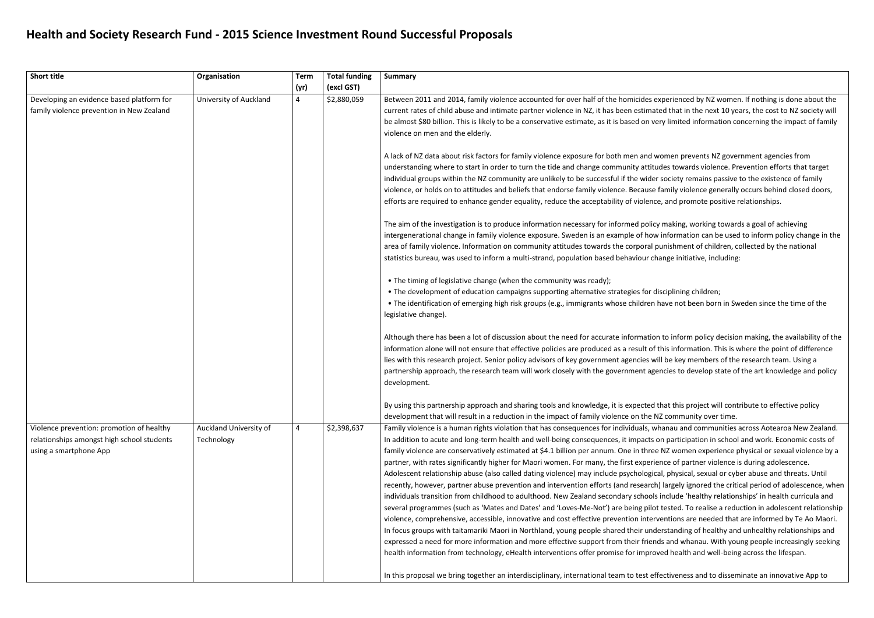## **Health and Society Research Fund - 2015 Science Investment Round Successful Proposals**

| <b>Short title</b>                                                                                                | Organisation                         | <b>Term</b><br>(yr) | <b>Total funding</b><br>(excl GST) | <b>Summary</b>                                                                                                                                                                                                                                                                                                                                                                                                                                                                                                                                                                                                                                                                                                                                                                                                                                                                                                                                                                                                                                                                      |
|-------------------------------------------------------------------------------------------------------------------|--------------------------------------|---------------------|------------------------------------|-------------------------------------------------------------------------------------------------------------------------------------------------------------------------------------------------------------------------------------------------------------------------------------------------------------------------------------------------------------------------------------------------------------------------------------------------------------------------------------------------------------------------------------------------------------------------------------------------------------------------------------------------------------------------------------------------------------------------------------------------------------------------------------------------------------------------------------------------------------------------------------------------------------------------------------------------------------------------------------------------------------------------------------------------------------------------------------|
| Developing an evidence based platform for<br>family violence prevention in New Zealand                            | University of Auckland               | 4                   | \$2,880,059                        | Between 2011 and 2014, family violence accounted for over half of the homicides ex<br>current rates of child abuse and intimate partner violence in NZ, it has been estimate<br>be almost \$80 billion. This is likely to be a conservative estimate, as it is based on ve<br>violence on men and the elderly.                                                                                                                                                                                                                                                                                                                                                                                                                                                                                                                                                                                                                                                                                                                                                                      |
|                                                                                                                   |                                      |                     |                                    | A lack of NZ data about risk factors for family violence exposure for both men and w<br>understanding where to start in order to turn the tide and change community attitu-<br>individual groups within the NZ community are unlikely to be successful if the wider<br>violence, or holds on to attitudes and beliefs that endorse family violence. Because f<br>efforts are required to enhance gender equality, reduce the acceptability of violence                                                                                                                                                                                                                                                                                                                                                                                                                                                                                                                                                                                                                              |
|                                                                                                                   |                                      |                     |                                    | The aim of the investigation is to produce information necessary for informed policy<br>intergenerational change in family violence exposure. Sweden is an example of how<br>area of family violence. Information on community attitudes towards the corporal p<br>statistics bureau, was used to inform a multi-strand, population based behaviour characters                                                                                                                                                                                                                                                                                                                                                                                                                                                                                                                                                                                                                                                                                                                      |
|                                                                                                                   |                                      |                     |                                    | • The timing of legislative change (when the community was ready);<br>. The development of education campaigns supporting alternative strategies for di<br>. The identification of emerging high risk groups (e.g., immigrants whose children h<br>legislative change).                                                                                                                                                                                                                                                                                                                                                                                                                                                                                                                                                                                                                                                                                                                                                                                                             |
|                                                                                                                   |                                      |                     |                                    | Although there has been a lot of discussion about the need for accurate information<br>information alone will not ensure that effective policies are produced as a result of t<br>lies with this research project. Senior policy advisors of key government agencies wi<br>partnership approach, the research team will work closely with the government age<br>development.                                                                                                                                                                                                                                                                                                                                                                                                                                                                                                                                                                                                                                                                                                        |
|                                                                                                                   |                                      |                     |                                    | By using this partnership approach and sharing tools and knowledge, it is expected t<br>development that will result in a reduction in the impact of family violence on the N.                                                                                                                                                                                                                                                                                                                                                                                                                                                                                                                                                                                                                                                                                                                                                                                                                                                                                                      |
| Violence prevention: promotion of healthy<br>relationships amongst high school students<br>using a smartphone App | Auckland University of<br>Technology | 4                   | \$2,398,637                        | Family violence is a human rights violation that has consequences for individuals, wh<br>In addition to acute and long-term health and well-being consequences, it impacts of<br>family violence are conservatively estimated at \$4.1 billion per annum. One in three<br>partner, with rates significantly higher for Maori women. For many, the first experie<br>Adolescent relationship abuse (also called dating violence) may include psychologica<br>recently, however, partner abuse prevention and intervention efforts (and research)<br>individuals transition from childhood to adulthood. New Zealand secondary schools<br>several programmes (such as 'Mates and Dates' and 'Loves-Me-Not') are being pilot<br>violence, comprehensive, accessible, innovative and cost effective prevention interv<br>In focus groups with taitamariki Maori in Northland, young people shared their unde<br>expressed a need for more information and more effective support from their friend<br>health information from technology, eHealth interventions offer promise for improv |
|                                                                                                                   |                                      |                     |                                    | In this proposal we bring together an interdisciplinary, international team to test eff                                                                                                                                                                                                                                                                                                                                                                                                                                                                                                                                                                                                                                                                                                                                                                                                                                                                                                                                                                                             |

xperienced by NZ women. If nothing is done about the ted that in the next 10 years, the cost to NZ society will ery limited information concerning the impact of family

vomen prevents NZ government agencies from des towards violence. Prevention efforts that target in society remains passive to the existence of family family violence generally occurs behind closed doors, e, and promote positive relationships.

making, working towards a goal of achieving  $\nu$  information can be used to inform policy change in the bunishment of children, collected by the national ange initiative, including:

isciplining children; have not been born in Sweden since the time of the

to inform policy decision making, the availability of the this information. This is where the point of difference ill be key members of the research team. Using a encies to develop state of the art knowledge and policy

that this project will contribute to effective policy IZ community over time.

hanau and communities across Aotearoa New Zealand. on participation in school and work. Economic costs of  $e$  NZ women experience physical or sexual violence by a ence of partner violence is during adolescence.

al, physical, sexual or cyber abuse and threats. Until ) largely ignored the critical period of adolescence, when include 'healthy relationships' in health curricula and t tested. To realise a reduction in adolescent relationship ventions are needed that are informed by Te Ao Maori. erstanding of healthy and unhealthy relationships and ds and whanau. With young people increasingly seeking ved health and well-being across the lifespan.

fectiveness and to disseminate an innovative App to